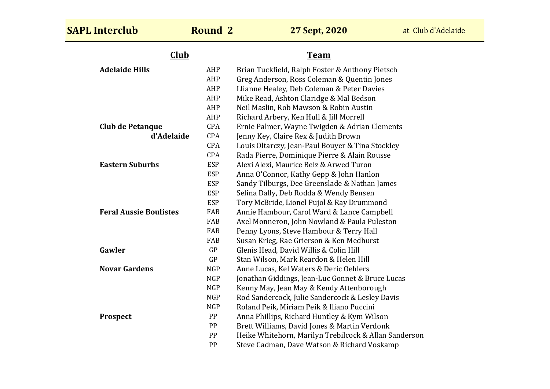| <b>SAPL Interclub</b>         | <b>Round 2</b> | 27 Sept, 2020                                         | at Club d'Adelaide |
|-------------------------------|----------------|-------------------------------------------------------|--------------------|
| <b>Club</b>                   |                | <b>Team</b>                                           |                    |
| <b>Adelaide Hills</b>         | AHP            | Brian Tuckfield, Ralph Foster & Anthony Pietsch       |                    |
|                               | AHP            | Greg Anderson, Ross Coleman & Quentin Jones           |                    |
|                               | AHP            | Llianne Healey, Deb Coleman & Peter Davies            |                    |
|                               | AHP            | Mike Read, Ashton Claridge & Mal Bedson               |                    |
|                               | AHP            | Neil Maslin, Rob Mawson & Robin Austin                |                    |
|                               | AHP            | Richard Arbery, Ken Hull & Jill Morrell               |                    |
| <b>Club de Petanque</b>       | CPA            | Ernie Palmer, Wayne Twigden & Adrian Clements         |                    |
| d'Adelaide                    | CPA            | Jenny Key, Claire Rex & Judith Brown                  |                    |
|                               | CPA            | Louis Oltarczy, Jean-Paul Bouyer & Tina Stockley      |                    |
|                               | CPA            | Rada Pierre, Dominique Pierre & Alain Rousse          |                    |
| <b>Eastern Suburbs</b>        | <b>ESP</b>     | Alexi Alexi, Maurice Belz & Arwed Turon               |                    |
|                               | <b>ESP</b>     | Anna O'Connor, Kathy Gepp & John Hanlon               |                    |
|                               | <b>ESP</b>     | Sandy Tilburgs, Dee Greenslade & Nathan James         |                    |
|                               | <b>ESP</b>     | Selina Dally, Deb Rodda & Wendy Bensen                |                    |
|                               | <b>ESP</b>     | Tory McBride, Lionel Pujol & Ray Drummond             |                    |
| <b>Feral Aussie Boulistes</b> | FAB            | Annie Hambour, Carol Ward & Lance Campbell            |                    |
|                               | FAB            | Axel Monneron, John Nowland & Paula Puleston          |                    |
|                               | FAB            | Penny Lyons, Steve Hambour & Terry Hall               |                    |
|                               | FAB            | Susan Krieg, Rae Grierson & Ken Medhurst              |                    |
| Gawler                        | GP             | Glenis Head, David Willis & Colin Hill                |                    |
|                               | GP             | Stan Wilson, Mark Reardon & Helen Hill                |                    |
| <b>Novar Gardens</b>          | <b>NGP</b>     | Anne Lucas, Kel Waters & Deric Oehlers                |                    |
|                               | <b>NGP</b>     | Jonathan Giddings, Jean-Luc Gonnet & Bruce Lucas      |                    |
|                               | <b>NGP</b>     | Kenny May, Jean May & Kendy Attenborough              |                    |
|                               | <b>NGP</b>     | Rod Sandercock, Julie Sandercock & Lesley Davis       |                    |
|                               | <b>NGP</b>     | Roland Peik, Miriam Peik & Iliano Puccini             |                    |
| <b>Prospect</b>               | PP             | Anna Phillips, Richard Huntley & Kym Wilson           |                    |
|                               | PP             | Brett Williams, David Jones & Martin Verdonk          |                    |
|                               | PP             | Heike Whitehorn, Marilyn Trebilcock & Allan Sanderson |                    |
|                               | PP             | Steve Cadman, Dave Watson & Richard Voskamp           |                    |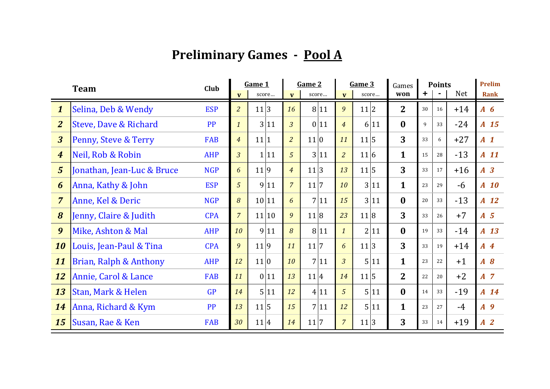## **Preliminary Games - Pool A**

|                  | <b>Team</b>                |            | Game 1         |       | Game 2         |       | Game 3         |       | Games          | <b>Points</b> |                |            | <b>Prelim</b>  |
|------------------|----------------------------|------------|----------------|-------|----------------|-------|----------------|-------|----------------|---------------|----------------|------------|----------------|
|                  |                            | Club       | $\mathbf{V}$   | score | $\mathbf{v}$   | score | $\mathbf{V}$   | score | won            | +             | $\blacksquare$ | <b>Net</b> | <b>Rank</b>    |
| $\boldsymbol{1}$ | Selina, Deb & Wendy        | <b>ESP</b> | $\overline{a}$ | 11 3  | 16             | 8 11  | 9              | 11 2  | $\overline{2}$ | 30            | 16             | $+14$      | $A\,6$         |
| $\overline{2}$   | Steve, Dave & Richard      | <b>PP</b>  | $\mathbf{1}$   | 3 11  | $\overline{3}$ | 0 11  | $\overline{4}$ | 6 11  | $\bf{0}$       | 9             | 33             | $-24$      | A 15           |
| $\overline{3}$   | Penny, Steve & Terry       | <b>FAB</b> | $\overline{4}$ | 11 1  | $\overline{2}$ | 11 0  | 11             | 11 5  | 3              | 33            | 6              | $+27$      | A <sub>1</sub> |
| $\boldsymbol{4}$ | Neil, Rob & Robin          | <b>AHP</b> | 3 <sup>1</sup> | 1 11  | 5              | 3 11  | $\overline{a}$ | 11 6  | $\mathbf{1}$   | 15            | 28             | $-13$      | $A$ 11         |
| $5\overline{5}$  | Jonathan, Jean-Luc & Bruce | <b>NGP</b> | 6              | 11 9  | $\overline{4}$ | 11 3  | 13             | 11 5  | 3              | 33            | 17             | $+16$      | $A \quad 3$    |
| 6                | Anna, Kathy & John         | <b>ESP</b> | 5              | 9 11  | $\overline{7}$ | 11 7  | 10             | 3 11  | $\mathbf{1}$   | 23            | 29             | $-6$       | $A$ 10         |
| $\overline{7}$   | Anne, Kel & Deric          | <b>NGP</b> | 8              | 10 11 | 6              | 7 11  | 15             | 3 11  | $\bf{0}$       | 20            | 33             | $-13$      | A 12           |
| 8                | Jenny, Claire & Judith     | <b>CPA</b> | $\overline{7}$ | 11 10 | 9              | 11 8  | 23             | 11 8  | 3              | 33            | 26             | $+7$       | $A \quad 5$    |
| 9                | Mike, Ashton & Mal         | <b>AHP</b> | 10             | 9 11  | 8              | 8 11  | $\mathbf{1}$   | 2 11  | $\bf{0}$       | 19            | 33             | $-14$      | A 13           |
| 10               | Louis, Jean-Paul & Tina    | <b>CPA</b> | 9              | 11 9  | 11             | 11 7  | 6              | 11 3  | 3              | 33            | 19             | $+14$      | $A$ 4          |
| 11               | Brian, Ralph & Anthony     | <b>AHP</b> | 12             | 11 0  | 10             | 7 11  | $\overline{3}$ | 5 11  | $\mathbf{1}$   | 23            | 22             | $+1$       | $A \tB$        |
| 12               | Annie, Carol & Lance       | <b>FAB</b> | 11             | 0 11  | 13             | 11 4  | 14             | 11 5  | $\overline{2}$ | 22            | 20             | $+2$       | $A$ 7          |
| 13               | Stan, Mark & Helen         | GP         | 14             | 5 11  | 12             | 4 11  | 5              | 5 11  | $\bf{0}$       | 14            | 33             | $-19$      | A 14           |
| 14               | Anna, Richard & Kym        | <b>PP</b>  | 13             | 11 5  | 15             | 7 11  | 12             | 5 11  | $\mathbf{1}$   | 23            | 27             | $-4$       | A <sub>9</sub> |
| 15               | Susan, Rae & Ken           | <b>FAB</b> | 30             | 11 4  | 14             | 11 7  | $\overline{7}$ | 11 3  | 3              | 33            | 14             | $+19$      | A <sub>2</sub> |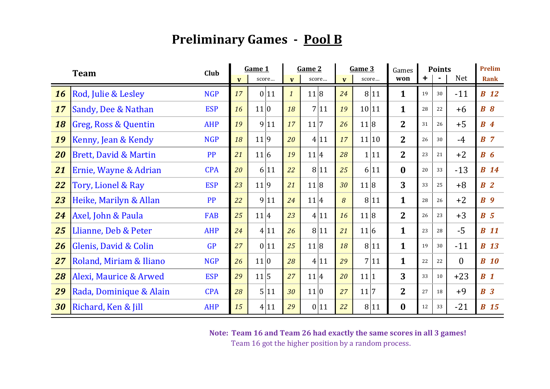## **Preliminary Games - Pool B**

|    | <b>Team</b>                      | Club       |              | Game 1 |                  | Game 2 |              | Game 3               | Games          | <b>Points</b> |                |            | Prelim         |
|----|----------------------------------|------------|--------------|--------|------------------|--------|--------------|----------------------|----------------|---------------|----------------|------------|----------------|
|    |                                  |            | $\mathbf{v}$ | score  | $\mathbf{v}$     | score  | $\mathbf{V}$ | score                | won            | +             | $\blacksquare$ | <b>Net</b> | <b>Rank</b>    |
| 16 | Rod, Julie & Lesley              | <b>NGP</b> | 17           | 0 11   | $\boldsymbol{1}$ | 11 8   | 24           | 8 11                 | $\mathbf{1}$   | 19            | 30             | $-11$      | <b>B</b> 12    |
| 17 | Sandy, Dee & Nathan              | <b>ESP</b> | 16           | 11 0   | 18               | 7 11   | 19           | 10 11                | $\mathbf{1}$   | 28            | 22             | $+6$       | $B\,8$         |
| 18 | Greg, Ross & Quentin             | <b>AHP</b> | 19           | 9 11   | 17               | 11 7   | 26           | 11 8                 | $\overline{2}$ | 31            | 26             | $+5$       | B <sub>4</sub> |
| 19 | Kenny, Jean & Kendy              | <b>NGP</b> | 18           | 11 9   | 20               | 4 11   | 17           | 11 10                | 2 <sup>1</sup> | 26            | 30             | $-4$       | BZ             |
| 20 | <b>Brett, David &amp; Martin</b> | <b>PP</b>  | 21           | 11 6   | 19               | 11 4   | 28           | 11<br>1 <sup>1</sup> | $\overline{2}$ | 23            | 21             | $+2$       | $B\ G$         |
| 21 | Ernie, Wayne & Adrian            | <b>CPA</b> | 20           | 6 11   | 22               | 8 11   | 25           | 6 11                 | $\bf{0}$       | 20            | 33             | $-13$      | <b>B</b> 14    |
| 22 | Tory, Lionel & Ray               | <b>ESP</b> | 23           | 11 9   | 21               | 11 8   | 30           | 11 8                 | 3              | 33            | 25             | $+8$       | B <sub>2</sub> |
| 23 | Heike, Marilyn & Allan           | <b>PP</b>  | 22           | 9 11   | 24               | 11 4   | 8            | 8 11                 | $\mathbf{1}$   | 28            | 26             | $+2$       | B <sub>9</sub> |
| 24 | Axel, John & Paula               | <b>FAB</b> | 25           | 11 4   | 23               | 4 11   | 16           | 11 8                 | $\overline{2}$ | 26            | 23             | $+3$       | $B \quad 5$    |
| 25 | Llianne, Deb & Peter             | <b>AHP</b> | 24           | 4 11   | 26               | 8 11   | 21           | 11 6                 | $\mathbf{1}$   | 23            | 28             | $-5$       | <b>B</b> 11    |
| 26 | Glenis, David & Colin            | <b>GP</b>  | 27           | 011    | 25               | 11 8   | 18           | 8 11                 | $\mathbf{1}$   | 19            | 30             | $-11$      | <b>B</b> 13    |
| 27 | Roland, Miriam & Iliano          | <b>NGP</b> | 26           | 11 0   | 28               | 4 11   | 29           | 7 11                 | $\mathbf{1}$   | 22            | 22             | $\theta$   | <b>B</b> 10    |
| 28 | Alexi, Maurice & Arwed           | <b>ESP</b> | 29           | 11 5   | 27               | 11 4   | 20           | 11 1                 | 3              | 33            | 10             | $+23$      | $B_1$          |
| 29 | Rada, Dominique & Alain          | <b>CPA</b> | 28           | 5 11   | 30               | 11 0   | 27           | 11 7                 | $\overline{2}$ | 27            | 18             | $+9$       | B <sub>3</sub> |
| 30 | Richard, Ken & Jill              | <b>AHP</b> | 15           | 4 11   | 29               | 0 11   | 22           | 8 11                 | $\bf{0}$       | 12            | 33             | $-21$      | <b>B</b> 15    |

**Note: Team 16 and Team 26 had exactly the same scores in all 3 games!**

Team 16 got the higher position by a random process.